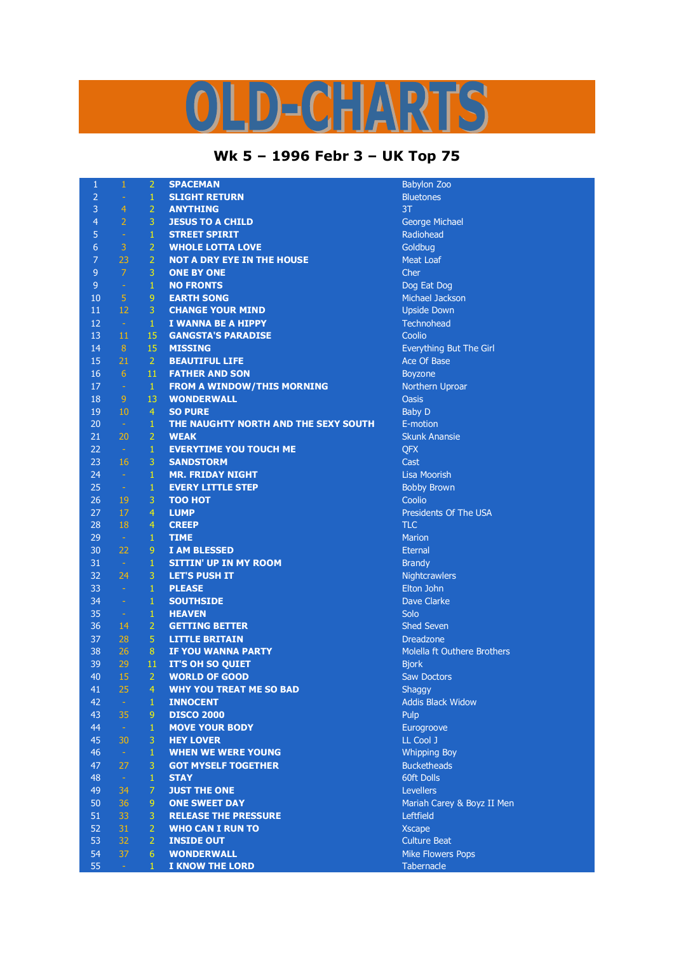## D-CHARTS

## **Wk 5 – 1996 Febr 3 – UK Top 75**

| $\mathbf{1}$   | $\mathbf{1}$     | $\overline{2}$ | <b>SPACEMAN</b>                      | <b>Babylon Zoo</b>          |
|----------------|------------------|----------------|--------------------------------------|-----------------------------|
| $\overline{2}$ | $\equiv$         | $1\,$          | <b>SLIGHT RETURN</b>                 | <b>Bluetones</b>            |
| 3              | $\overline{4}$   | $\overline{2}$ | <b>ANYTHING</b>                      | 3T                          |
| $\overline{4}$ | $\overline{2}$   | $\overline{3}$ | <b>JESUS TO A CHILD</b>              | George Michael              |
| 5              | $\rightarrow$    | $\mathbf{1}$   | <b>STREET SPIRIT</b>                 | Radiohead                   |
| 6              | $\mathsf 3$      | 2 <sup>1</sup> | <b>WHOLE LOTTA LOVE</b>              | Goldbug                     |
| 7              | 23               | $\overline{2}$ | <b>NOT A DRY EYE IN THE HOUSE</b>    | <b>Meat Loaf</b>            |
| 9              | $\overline{7}$   | 3              | <b>ONE BY ONE</b>                    | Cher                        |
| $\overline{9}$ | $\rightarrow$    | $\mathbf{1}$   | <b>NO FRONTS</b>                     | Dog Eat Dog                 |
| 10             | $\overline{5}$   | $\overline{9}$ | <b>EARTH SONG</b>                    | Michael Jackson             |
| 11             | 12               | 3              | <b>CHANGE YOUR MIND</b>              | <b>Upside Down</b>          |
| 12             | $\sim$           | $\mathbf{1}$   | I WANNA BE A HIPPY                   | Technohead                  |
| 13             | 11               | 15             | <b>GANGSTA'S PARADISE</b>            | Coolio                      |
| 14             | 8                | 15             | <b>MISSING</b>                       | Everything But The Girl     |
| 15             | 21               | 2 <sup>1</sup> | <b>BEAUTIFUL LIFE</b>                | Ace Of Base                 |
| 16             | $6 \overline{6}$ | 11             | <b>FATHER AND SON</b>                | <b>Boyzone</b>              |
| 17             | $\omega$         | $\mathbf{1}$   | <b>FROM A WINDOW/THIS MORNING</b>    | Northern Uproar             |
| 18             | 9                | 13             | <b>WONDERWALL</b>                    | <b>Oasis</b>                |
| 19             | 10               | $\overline{4}$ | <b>SO PURE</b>                       | <b>Baby D</b>               |
| 20             | $\sim$           | $\mathbf{1}$   | THE NAUGHTY NORTH AND THE SEXY SOUTH | E-motion                    |
| 21             | 20               | $\overline{2}$ | <b>WEAK</b>                          | <b>Skunk Anansie</b>        |
| 22             | $\pm$            | $\mathbf{1}$   | <b>EVERYTIME YOU TOUCH ME</b>        | QFX                         |
| 23             | 16               | 3              | <b>SANDSTORM</b>                     | Cast                        |
| 24             | $\omega$         | $\mathbf{1}$   | <b>MR. FRIDAY NIGHT</b>              | Lisa Moorish                |
| 25             | $\pm$            | $\mathbf{1}$   | <b>EVERY LITTLE STEP</b>             | <b>Bobby Brown</b>          |
| 26             | 19               | 3              | <b>TOO HOT</b>                       | Coolio                      |
| 27             | 17               | $\overline{4}$ | <b>LUMP</b>                          | Presidents Of The USA       |
| 28             | 18               | $\overline{4}$ | <b>CREEP</b>                         | <b>TLC</b>                  |
| 29             | $\sim$           | $\mathbf{1}$   | <b>TIME</b>                          | <b>Marion</b>               |
| 30             | 22               | 9 <sup>°</sup> | <b>I AM BLESSED</b>                  | <b>Eternal</b>              |
| 31             | $\sim$           | $\mathbf{1}$   | <b>SITTIN' UP IN MY ROOM</b>         | <b>Brandy</b>               |
| 32             | 24               | 3 <sup>1</sup> | <b>LET'S PUSH IT</b>                 | Nightcrawlers               |
| 33             | $\mathcal{L}$    | $\mathbf{1}$   | <b>PLEASE</b>                        | Elton John                  |
| 34             | $\sim$           | $\mathbf{1}$   | <b>SOUTHSIDE</b>                     | <b>Dave Clarke</b>          |
| 35             | $\sim$           | $\mathbf{1}$   | <b>HEAVEN</b>                        | Solo                        |
| 36             | 14               | 2 <sup>1</sup> | <b>GETTING BETTER</b>                | <b>Shed Seven</b>           |
| 37             | 28               | 5 <sup>1</sup> | <b>LITTLE BRITAIN</b>                | <b>Dreadzone</b>            |
| 38             | 26               | 8 <sup>°</sup> | IF YOU WANNA PARTY                   | Molella ft Outhere Brothers |
| 39             | 29               | 11             | <b>IT'S OH SO QUIET</b>              | <b>Bjork</b>                |
| 40             | 15               | $\overline{2}$ | <b>WORLD OF GOOD</b>                 | <b>Saw Doctors</b>          |
| 41             | 25               | 4              | <b>WHY YOU TREAT ME SO BAD</b>       | Shaggy                      |
| 42             | $\omega_{\rm c}$ | $\mathbf{1}$   | <b>INNOCENT</b>                      | <b>Addis Black Widow</b>    |
| 43             | 35               | $\overline{9}$ | <b>DISCO 2000</b>                    | Pulp                        |
| 44             | $\omega$         | $\mathbf{1}$   | <b>MOVE YOUR BODY</b>                | Eurogroove                  |
| 45             | 30               | 3              | <b>HEY LOVER</b>                     | LL Cool J                   |
| 46             | $\omega$         | $\mathbf{1}$   | <b>WHEN WE WERE YOUNG</b>            | <b>Whipping Boy</b>         |
| 47             | 27               | 3              | <b>GOT MYSELF TOGETHER</b>           | <b>Bucketheads</b>          |
| 48             | $\pm$            | $\mathbf{1}$   | <b>STAY</b>                          | 60ft Dolls                  |
| 49             | 34               | 7 <sup>1</sup> | <b>JUST THE ONE</b>                  | <b>Levellers</b>            |
| 50             | 36               | 9              | <b>ONE SWEET DAY</b>                 | Mariah Carey & Boyz II Men  |
| 51             | 33               | 3              | <b>RELEASE THE PRESSURE</b>          | Leftfield                   |
| 52             | 31               | $\overline{2}$ | <b>WHO CAN I RUN TO</b>              | <b>Xscape</b>               |
| 53             | 32               | 2 <sup>1</sup> | <b>INSIDE OUT</b>                    | <b>Culture Beat</b>         |
| 54             | 37               | 6              | <b>WONDERWALL</b>                    | <b>Mike Flowers Pops</b>    |
| 55             |                  | $\mathbf{1}$   |                                      | Tabernacle                  |
|                | $\omega_{\rm c}$ |                | <b>I KNOW THE LORD</b>               |                             |